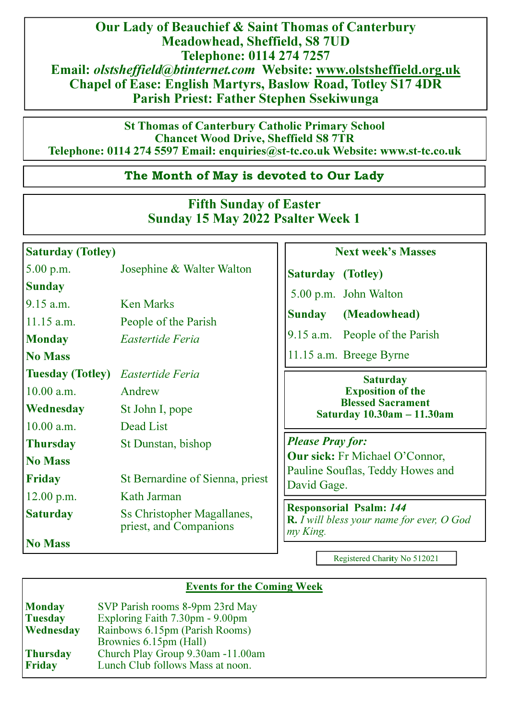Our Lady of Beauchief & Saint Thomas of Canterbury Meadowhead, Sheffield, S8 7UD Telephone: 0114 274 7257 Email: olstsheffield@btinternet.com Website: www.olstsheffield.org.uk Chapel of Ease: English Martyrs, Baslow Road, Totley S17 4DR Parish Priest: Father Stephen Ssekiwunga

St Thomas of Canterbury Catholic Primary School Chancet Wood Drive, Sheffield S8 7TR Telephone: 0114 274 5597 Email: enquiries@st**-**tc.co.uk Website: www.st**-**tc.co.uk

## The Month of May is devoted to Our Lady

## Fifth Sunday of Easter Sunday 15 May 2022 Psalter Week 1

## Saturday (Totley)

5.00 p.m. Josephine & Walter Walton **Sunday** 9.15 a.m. Ken Marks 11.15 a.m. People of the Parish Monday Eastertide Feria No Mass Tuesday (Totley) Eastertide Feria 10.00 a.m. Andrew Wednesday St John I, pope 10.00 a.m. Dead List Thursday St Dunstan, bishop No Mass Friday St Bernardine of Sienna, priest 12.00 p.m. Kath Jarman Saturday Ss Christopher Magallanes. priest, and Companions No Mass

## Next week's Masses

Saturday (Totley)

5.00 p.m. John Walton

Sunday (Meadowhead)

9.15 a.m. People of the Parish

11.15 a.m. Breege Byrne

## **Saturday** Exposition of the Blessed Sacrament Saturday 10.30am **–** 11.30am

Please Pray for: Our sick: Fr Michael O'Connor, Pauline Souflas, Teddy Howes and David Gage.

Responsorial Psalm: 144 **R.**  $\overline{I}$  will bless your name for ever, O God my King.

Registered Charity No 512021

## Events for the Coming Week

| <b>Monday</b>   | SVP Parish rooms 8-9pm 23rd May   |  |  |
|-----------------|-----------------------------------|--|--|
| <b>Tuesday</b>  | Exploring Faith 7.30pm - 9.00pm   |  |  |
| Wednesday       | Rainbows 6.15pm (Parish Rooms)    |  |  |
|                 | Brownies 6.15pm (Hall)            |  |  |
| <b>Thursday</b> | Church Play Group 9.30am -11.00am |  |  |
| <b>Friday</b>   | Lunch Club follows Mass at noon.  |  |  |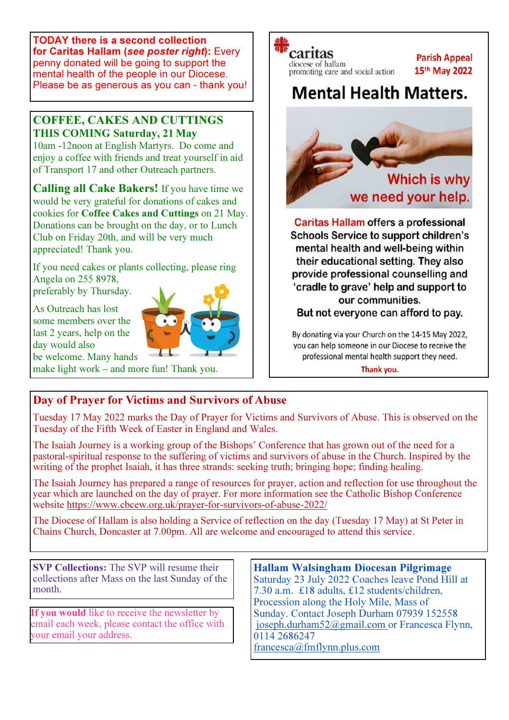TODAY there is a second collection for Caritas Hallam (see poster right): Every penny donated will be going to support the mental health of the people in our Diocese. Please be as generous as you can - thank you!

## COFFEE, CAKES AND CUTTINGS THIS COMING Saturday, 21 May

10am -12noon at English Martyrs. Do come and enjoy a coffee with friends and treat yourself in aid of Transport 17 and other Outreach partners.

Calling all Cake Bakers! If you have time we would be very grateful for donations of cakes and cookies for Coffee Cakes and Cuttings on 21 May. Donations can be brought on the day, or to Lunch Club on Friday 20th, and will be very much appreciated! Thank you.

If you need cakes or plants collecting, please ring Angela on 255 8978, preferably by Thursday.

As Outreach has lost some members over the last 2 years, help on the day would also be welcome. Many hands



make light work – and more fun! Thank you.

# caritas

diocese of hallam promoting care and social action

## **Parish Appeal** 15th May 2022

## **Mental Health Matters.**



**Caritas Hallam offers a professional Schools Service to support children's** mental health and well-being within their educational setting. They also provide professional counselling and 'cradle to grave' help and support to our communities. But not everyone can afford to pay.

By donating via your Church on the 14-15 May 2022, you can help someone in our Diocese to receive the professional mental health support they need.

Thank you.

## Day of Prayer for Victims and Survivors of Abuse

Tuesday 17 May 2022 marks the Day of Prayer for Victims and Survivors of Abuse. This is observed on the Tuesday of the Fifth Week of Easter in England and Wales.

The Isaiah Journey is a working group of the Bishops' Conference that has grown out of the need for a pastoral-spiritual response to the suffering of victims and survivors of abuse in the Church. Inspired by the writing of the prophet Isaiah, it has three strands: seeking truth; bringing hope; finding healing.

The Isaiah Journey has prepared a range of resources for prayer, action and reflection for use throughout the year which are launched on the day of prayer. For more information see the Catholic Bishop Conference website https://www.cbcew.org.uk/prayer-for-survivors-of-abuse-2022/

The Diocese of Hallam is also holding a Service of reflection on the day (Tuesday 17 May) at St Peter in Chains Church, Doncaster at 7.00pm. All are welcome and encouraged to attend this service.

SVP Collections: The SVP will resume their collections after Mass on the last Sunday of the month.

If you would like to receive the newsletter by email each week, please contact the office with your email your address.

Hallam Walsingham Diocesan Pilgrimage Saturday 23 July 2022 Coaches leave Pond Hill at 7.30 a.m. £18 adults, £12 students/children, Procession along the Holy Mile, Mass of Sunday. Contact Joseph Durham 07939 152558 joseph.durham52@gmail.com or Francesca Flynn, 0114 2686247 francesca@fmflynn.plus.com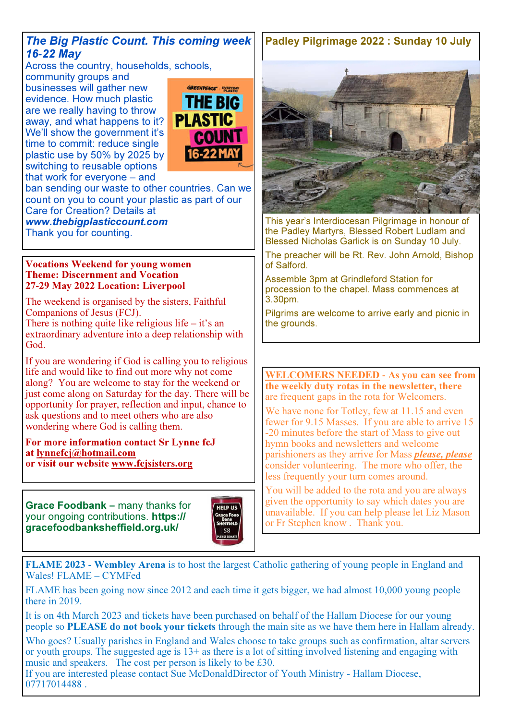## The Big Plastic Count. This coming week 16**-**22 May

Across the country, households, schools,

community groups and businesses will gather new evidence. How much plastic are we really having to throw away, and what happens to it? We'll show the government it's time to commit: reduce single plastic use by 50% by 2025 by switching to reusable options that work for everyone – and



ban sending our waste to other countries. Can we count on you to count your plastic as part of our Care for Creation? Details at

www.thebigplasticcount.com Thank you for counting.

### Vocations Weekend for young women Theme: Discernment and Vocation 27**-**29 May 2022 Location: Liverpool

The weekend is organised by the sisters, Faithful Companions of Jesus (FCJ).

There is nothing quite like religious life – it's an extraordinary adventure into a deep relationship with God.

If you are wondering if God is calling you to religious life and would like to find out more why not come along? You are welcome to stay for the weekend or just come along on Saturday for the day. There will be opportunity for prayer, reflection and input, chance to ask questions and to meet others who are also wondering where God is calling them.

#### For more information contact Sr Lynne fcJ at lynnefcj@hotmail.com or visit our website www.fcjsisters.org

Grace Foodbank **–** many thanks for your ongoing contributions. https:// gracefoodbanksheffield.org.uk/



## Padley Pilgrimage 2022 : Sunday 10 July



This year's Interdiocesan Pilgrimage in honour of the Padley Martyrs, Blessed Robert Ludlam and Blessed Nicholas Garlick is on Sunday 10 July.

The preacher will be Rt. Rev. John Arnold, Bishop of Salford.

Assemble 3pm at Grindleford Station for procession to the chapel. Mass commences at 3.30pm.

Pilgrims are welcome to arrive early and picnic in the grounds.

WELCOMERS NEEDED **-** As you can see from the weekly duty rotas in the newsletter, there are frequent gaps in the rota for Welcomers.

We have none for Totley, few at 11.15 and even fewer for 9.15 Masses. If you are able to arrive 15 -20 minutes before the start of Mass to give out hymn books and newsletters and welcome parishioners as they arrive for Mass *please*, *please* consider volunteering. The more who offer, the less frequently your turn comes around.

You will be added to the rota and you are always given the opportunity to say which dates you are unavailable. If you can help please let Liz Mason or Fr Stephen know . Thank you.

FLAME 2023 **-** Wembley Arena is to host the largest Catholic gathering of young people in England and Wales! FLAME – CYMFed

FLAME has been going now since 2012 and each time it gets bigger, we had almost 10,000 young people there in 2019.

It is on 4th March 2023 and tickets have been purchased on behalf of the Hallam Diocese for our young people so **PLEASE** do not book your tickets through the main site as we have them here in Hallam already.

Who goes? Usually parishes in England and Wales choose to take groups such as confirmation, altar servers or youth groups. The suggested age is 13+ as there is a lot of sitting involved listening and engaging with music and speakers. The cost per person is likely to be £30.

If you are interested please contact Sue McDonaldDirector of Youth Ministry - Hallam Diocese, 07717014488 .